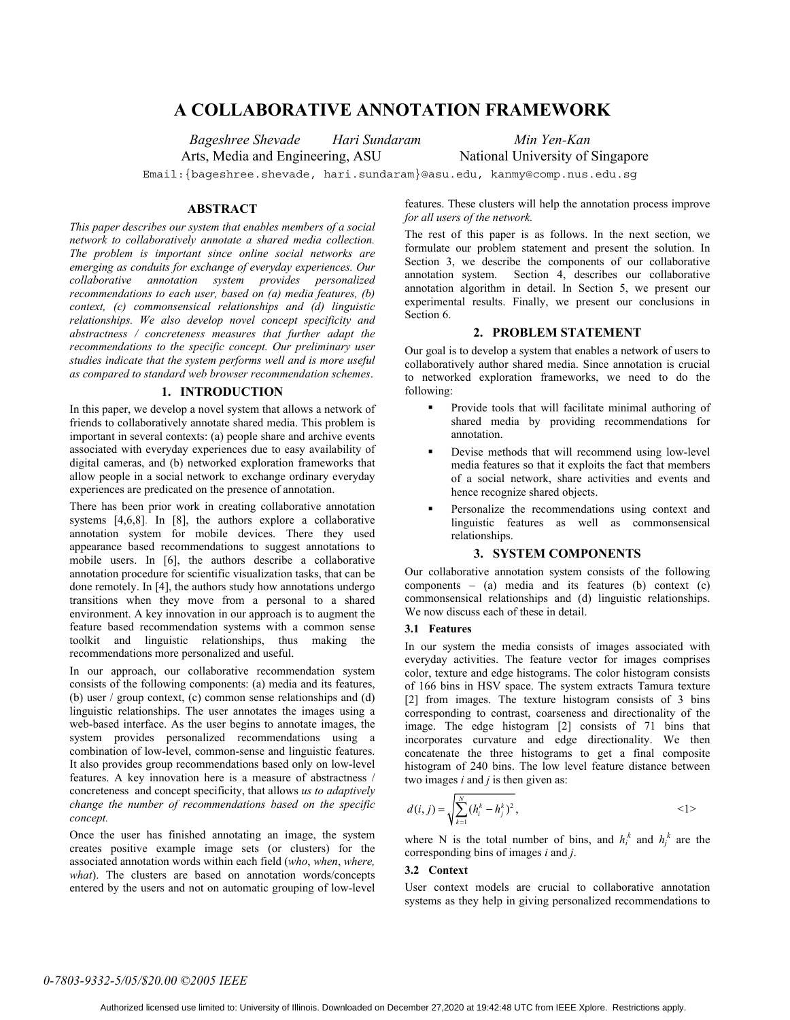# **A COLLABORATIVE ANNOTATION FRAMEWORK**

*Bageshree Shevade Hari Sundaram Min Yen-Kan* 

Arts, Media and Engineering, ASU National University of Singapore

Email:{bageshree.shevade, hari.sundaram}@asu.edu, kanmy@comp.nus.edu.sg

# **ABSTRACT**

*This paper describes our system that enables members of a social network to collaboratively annotate a shared media collection. The problem is important since online social networks are emerging as conduits for exchange of everyday experiences. Our collaborative annotation system provides personalized recommendations to each user, based on (a) media features, (b) context, (c) commonsensical relationships and (d) linguistic relationships. We also develop novel concept specificity and abstractness / concreteness measures that further adapt the recommendations to the specific concept. Our preliminary user studies indicate that the system performs well and is more useful as compared to standard web browser recommendation schemes*.

## **1. INTRODUCTION**

In this paper, we develop a novel system that allows a network of friends to collaboratively annotate shared media. This problem is important in several contexts: (a) people share and archive events associated with everyday experiences due to easy availability of digital cameras, and (b) networked exploration frameworks that allow people in a social network to exchange ordinary everyday experiences are predicated on the presence of annotation.

There has been prior work in creating collaborative annotation systems [4,6,8]. In [8], the authors explore a collaborative annotation system for mobile devices. There they used appearance based recommendations to suggest annotations to mobile users. In [6], the authors describe a collaborative annotation procedure for scientific visualization tasks, that can be done remotely. In [4], the authors study how annotations undergo transitions when they move from a personal to a shared environment. A key innovation in our approach is to augment the feature based recommendation systems with a common sense toolkit and linguistic relationships, thus making the recommendations more personalized and useful.

In our approach, our collaborative recommendation system consists of the following components: (a) media and its features, (b) user / group context, (c) common sense relationships and (d) linguistic relationships. The user annotates the images using a web-based interface. As the user begins to annotate images, the system provides personalized recommendations using a combination of low-level, common-sense and linguistic features. It also provides group recommendations based only on low-level features. A key innovation here is a measure of abstractness / concreteness and concept specificity, that allows *us to adaptively change the number of recommendations based on the specific concept.* 

Once the user has finished annotating an image, the system creates positive example image sets (or clusters) for the associated annotation words within each field (*who*, *when*, *where, what*). The clusters are based on annotation words/concepts entered by the users and not on automatic grouping of low-level

features. These clusters will help the annotation process improve *for all users of the network.* 

The rest of this paper is as follows. In the next section, we formulate our problem statement and present the solution. In Section 3, we describe the components of our collaborative annotation system. Section 4, describes our collaborative annotation algorithm in detail. In Section 5, we present our experimental results. Finally, we present our conclusions in Section 6.

## **2. PROBLEM STATEMENT**

Our goal is to develop a system that enables a network of users to collaboratively author shared media. Since annotation is crucial to networked exploration frameworks, we need to do the following:

- Provide tools that will facilitate minimal authoring of shared media by providing recommendations for annotation.
- Devise methods that will recommend using low-level media features so that it exploits the fact that members of a social network, share activities and events and hence recognize shared objects.
- Personalize the recommendations using context and linguistic features as well as commonsensical relationships.

#### **3. SYSTEM COMPONENTS**

Our collaborative annotation system consists of the following components – (a) media and its features (b) context  $(c)$ commonsensical relationships and (d) linguistic relationships. We now discuss each of these in detail.

#### **3.1 Features**

In our system the media consists of images associated with everyday activities. The feature vector for images comprises color, texture and edge histograms. The color histogram consists of 166 bins in HSV space. The system extracts Tamura texture [2] from images. The texture histogram consists of 3 bins corresponding to contrast, coarseness and directionality of the image. The edge histogram [2] consists of 71 bins that incorporates curvature and edge directionality. We then concatenate the three histograms to get a final composite histogram of 240 bins. The low level feature distance between two images  $i$  and  $j$  is then given as:

$$
d(i, j) = \sqrt{\sum_{k=1}^{N} (h_i^k - h_j^k)^2},
$$
  $\langle 1 \rangle$ 

where N is the total number of bins, and  $h_i^k$  and  $h_j^k$  are the corresponding bins of images *i* and *j*.

## **3.2 Context**

User context models are crucial to collaborative annotation systems as they help in giving personalized recommendations to

#### *0-7803-9332-5/05/\$20.00 ©2005 IEEE*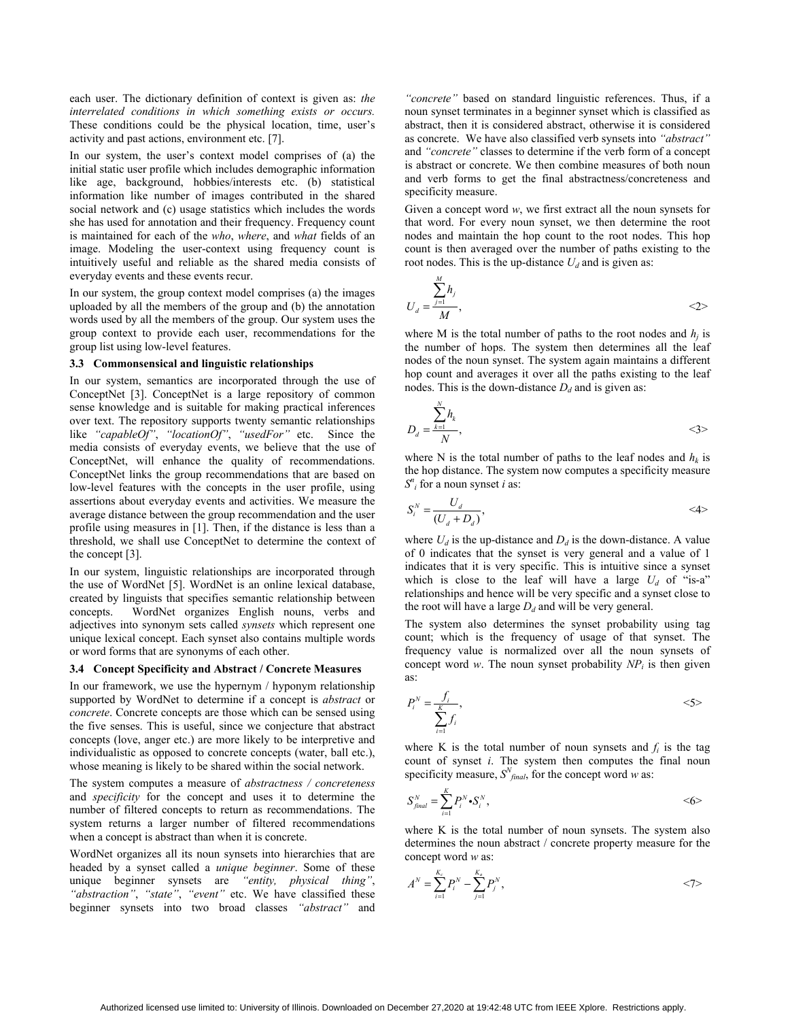each user. The dictionary definition of context is given as: *the interrelated conditions in which something exists or occurs.*  These conditions could be the physical location, time, user's activity and past actions, environment etc. [7].

In our system, the user's context model comprises of (a) the initial static user profile which includes demographic information like age, background, hobbies/interests etc. (b) statistical information like number of images contributed in the shared social network and (c) usage statistics which includes the words she has used for annotation and their frequency. Frequency count is maintained for each of the *who*, *where*, and *what* fields of an image. Modeling the user-context using frequency count is intuitively useful and reliable as the shared media consists of everyday events and these events recur.

In our system, the group context model comprises (a) the images uploaded by all the members of the group and (b) the annotation words used by all the members of the group. Our system uses the group context to provide each user, recommendations for the group list using low-level features.

#### **3.3 Commonsensical and linguistic relationships**

In our system, semantics are incorporated through the use of ConceptNet [3]. ConceptNet is a large repository of common sense knowledge and is suitable for making practical inferences over text. The repository supports twenty semantic relationships like *"capableOf"*, *"locationOf"*, *"usedFor"* etc. Since the media consists of everyday events, we believe that the use of ConceptNet, will enhance the quality of recommendations. ConceptNet links the group recommendations that are based on low-level features with the concepts in the user profile, using assertions about everyday events and activities. We measure the average distance between the group recommendation and the user profile using measures in [1]. Then, if the distance is less than a threshold, we shall use ConceptNet to determine the context of the concept [3].

In our system, linguistic relationships are incorporated through the use of WordNet [5]. WordNet is an online lexical database, created by linguists that specifies semantic relationship between concepts. WordNet organizes English nouns, verbs and adjectives into synonym sets called *synsets* which represent one unique lexical concept. Each synset also contains multiple words or word forms that are synonyms of each other.

#### **3.4 Concept Specificity and Abstract / Concrete Measures**

In our framework, we use the hypernym / hyponym relationship supported by WordNet to determine if a concept is *abstract* or *concrete*. Concrete concepts are those which can be sensed using the five senses. This is useful, since we conjecture that abstract concepts (love, anger etc.) are more likely to be interpretive and individualistic as opposed to concrete concepts (water, ball etc.), whose meaning is likely to be shared within the social network.

The system computes a measure of *abstractness / concreteness* and *specificity* for the concept and uses it to determine the number of filtered concepts to return as recommendations. The system returns a larger number of filtered recommendations when a concept is abstract than when it is concrete.

WordNet organizes all its noun synsets into hierarchies that are headed by a synset called a *unique beginner*. Some of these unique beginner synsets are *"entity, physical thing"*, *"abstraction"*, *"state"*, *"event"* etc. We have classified these beginner synsets into two broad classes *"abstract"* and

*"concrete"* based on standard linguistic references. Thus, if a noun synset terminates in a beginner synset which is classified as abstract, then it is considered abstract, otherwise it is considered as concrete. We have also classified verb synsets into *"abstract"* and *"concrete"* classes to determine if the verb form of a concept is abstract or concrete. We then combine measures of both noun and verb forms to get the final abstractness/concreteness and specificity measure.

Given a concept word *w*, we first extract all the noun synsets for that word. For every noun synset, we then determine the root nodes and maintain the hop count to the root nodes. This hop count is then averaged over the number of paths existing to the root nodes. This is the up-distance  $U_d$  and is given as:

$$
U_d = \frac{\sum_{j=1}^{M} h_j}{M},
$$
  $\langle 2 \rangle$ 

where M is the total number of paths to the root nodes and  $h_i$  is the number of hops. The system then determines all the leaf nodes of the noun synset. The system again maintains a different hop count and averages it over all the paths existing to the leaf nodes. This is the down-distance  $D_d$  and is given as:

$$
D_d = \frac{\sum_{k=1}^{N} h_k}{N},
$$
  $\langle 3 \rangle$ 

where N is the total number of paths to the leaf nodes and  $h_k$  is the hop distance. The system now computes a specificity measure  $S^n$  for a noun synset *i* as:

$$
S_i^N = \frac{U_d}{(U_d + D_d)},
$$
  

$$
\langle 4 \rangle
$$

where  $U_d$  is the up-distance and  $D_d$  is the down-distance. A value of 0 indicates that the synset is very general and a value of 1 indicates that it is very specific. This is intuitive since a synset which is close to the leaf will have a large  $U_d$  of "is-a" relationships and hence will be very specific and a synset close to the root will have a large  $D_d$  and will be very general.

The system also determines the synset probability using tag count; which is the frequency of usage of that synset. The frequency value is normalized over all the noun synsets of concept word *w*. The noun synset probability  $NP_i$  is then given as:

$$
P_i^N = \frac{f_i}{\sum_{i=1}^K f_i},\tag{5}
$$

where K is the total number of noun synsets and  $f_i$  is the tag count of synset *i*. The system then computes the final noun specificity measure,  $S^{N}_{final}$ , for the concept word *w* as:

$$
S_{\text{final}}^N = \sum_{i=1}^K P_i^N \cdot S_i^N, \qquad \qquad \leq 6 \qquad \qquad \leq 6 \qquad \leq 6
$$

where K is the total number of noun synsets. The system also determines the noun abstract / concrete property measure for the concept word *w* as:

$$
A^N = \sum_{i=1}^{K_c} P_i^N - \sum_{j=1}^{K_a} P_j^N, \qquad \qquad \leq T > \qquad \qquad \leq T > \qquad \qquad \leq T > \qquad \qquad \leq T > \qquad \leq T > \qquad \leq T > \qquad \leq T > \qquad \leq T > \qquad \leq T > \qquad \leq T > \qquad \leq T > \qquad \leq T > \qquad \leq T > \qquad \leq T > \qquad \leq T > \qquad \leq T > \qquad \leq T > \qquad \leq T > \qquad \leq T > \qquad \leq T > \qquad \leq T > \qquad \leq T > \qquad \leq T > \qquad \leq T > \qquad \leq T > \qquad \leq T > \qquad \leq T > \qquad \leq T > \qquad \leq T > \qquad \leq T > \qquad \leq T > \qquad \leq T > \qquad \leq T > \qquad \leq T > \qquad \leq T > \qquad \leq T > \qquad \leq T > \qquad \leq T > \qquad \leq T > \qquad \leq T > \qquad \leq T > \qquad \leq T > \qquad \leq T > \qquad \leq T > \qquad \leq T > \qquad \leq T > \qquad \leq T > \qquad \leq T > \qquad \leq T > \qquad \leq T > \qquad \leq T > \qquad \leq T > \qquad \leq T > \qquad \leq T > \qquad \leq T > \qquad \leq T > \qquad \leq T > \qquad \leq T > \qquad \leq T > \qquad \leq T > \qquad \leq T > \qquad \leq T > \qquad \leq T > \qquad \leq T > \qquad \leq T > \qquad \leq T > \qquad \leq T > \qquad \leq T > \qquad \leq T > \qquad \leq T > \qquad \leq T > \
$$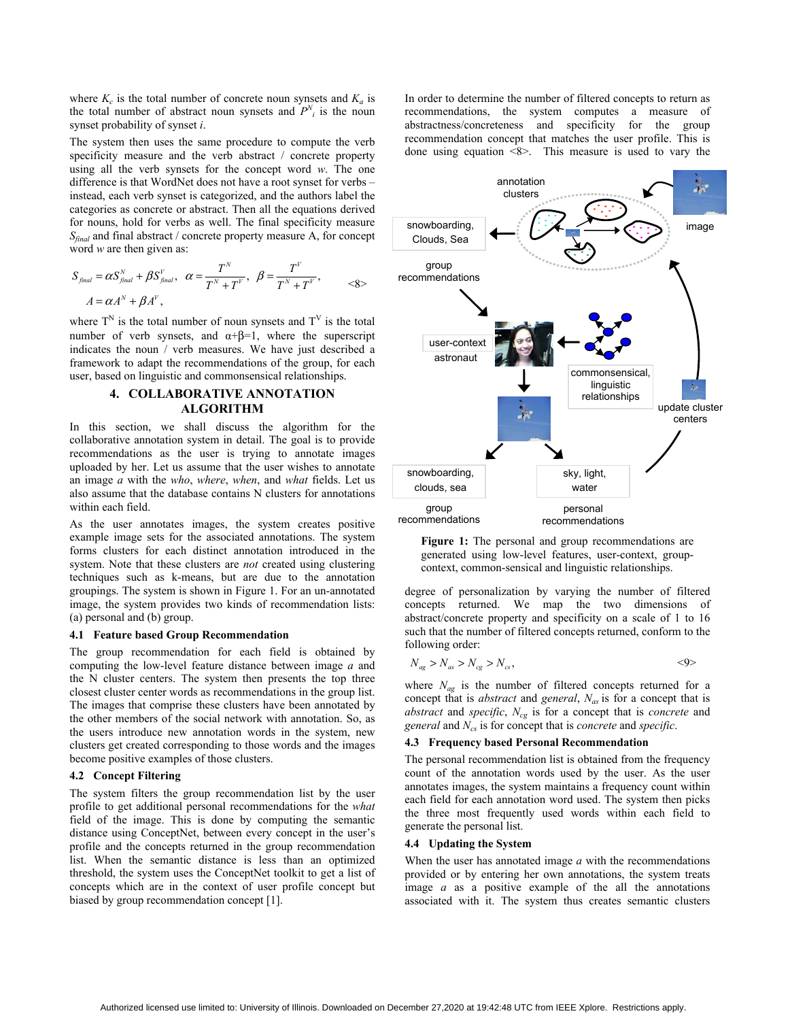where  $K_c$  is the total number of concrete noun synsets and  $K_a$  is the total number of abstract noun synsets and  $P^{N_i}$  is the noun synset probability of synset *i*.

The system then uses the same procedure to compute the verb specificity measure and the verb abstract / concrete property using all the verb synsets for the concept word *w*. The one difference is that WordNet does not have a root synset for verbs – instead, each verb synset is categorized, and the authors label the categories as concrete or abstract. Then all the equations derived for nouns, hold for verbs as well. The final specificity measure *Sfinal* and final abstract / concrete property measure A, for concept word *w* are then given as:

$$
S_{\text{final}} = \alpha S_{\text{final}}^N + \beta S_{\text{final}}^V, \quad \alpha = \frac{T^N}{T^N + T^V}, \quad \beta = \frac{T^V}{T^N + T^V}, \quad \text{<8>} \nA = \alpha A^N + \beta A^V,
$$

where  $T^N$  is the total number of noun synsets and  $T^V$  is the total number of verb synsets, and  $\alpha + \beta = 1$ , where the superscript indicates the noun / verb measures. We have just described a framework to adapt the recommendations of the group, for each user, based on linguistic and commonsensical relationships.

# **4. COLLABORATIVE ANNOTATION ALGORITHM**

In this section, we shall discuss the algorithm for the collaborative annotation system in detail. The goal is to provide recommendations as the user is trying to annotate images uploaded by her. Let us assume that the user wishes to annotate an image *a* with the *who*, *where*, *when*, and *what* fields. Let us also assume that the database contains N clusters for annotations within each field.

As the user annotates images, the system creates positive example image sets for the associated annotations. The system forms clusters for each distinct annotation introduced in the system. Note that these clusters are *not* created using clustering techniques such as k-means, but are due to the annotation groupings. The system is shown in Figure 1. For an un-annotated image, the system provides two kinds of recommendation lists: (a) personal and (b) group.

#### **4.1 Feature based Group Recommendation**

The group recommendation for each field is obtained by computing the low-level feature distance between image *a* and the N cluster centers. The system then presents the top three closest cluster center words as recommendations in the group list. The images that comprise these clusters have been annotated by the other members of the social network with annotation. So, as the users introduce new annotation words in the system, new clusters get created corresponding to those words and the images become positive examples of those clusters.

#### **4.2 Concept Filtering**

The system filters the group recommendation list by the user profile to get additional personal recommendations for the *what* field of the image. This is done by computing the semantic distance using ConceptNet, between every concept in the user's profile and the concepts returned in the group recommendation list. When the semantic distance is less than an optimized threshold, the system uses the ConceptNet toolkit to get a list of concepts which are in the context of user profile concept but biased by group recommendation concept [1].

In order to determine the number of filtered concepts to return as recommendations, the system computes a measure of abstractness/concreteness and specificity for the group recommendation concept that matches the user profile. This is done using equation <8>. This measure is used to vary the



**Figure 1:** The personal and group recommendations are generated using low-level features, user-context, groupcontext, common-sensical and linguistic relationships.

degree of personalization by varying the number of filtered concepts returned. We map the two dimensions of abstract/concrete property and specificity on a scale of 1 to 16 such that the number of filtered concepts returned, conform to the following order:

$$
N_{ag} > N_{as} > N_{cg} > N_{cs},
$$
  $\langle 9 \rangle$ 

where  $N_{ag}$  is the number of filtered concepts returned for a concept that is *abstract* and *general*,  $N_{as}$  is for a concept that is *abstract* and *specific*, *Ncg* is for a concept that is *concrete* and *general* and *Ncs* is for concept that is *concrete* and *specific*.

#### **4.3 Frequency based Personal Recommendation**

The personal recommendation list is obtained from the frequency count of the annotation words used by the user. As the user annotates images, the system maintains a frequency count within each field for each annotation word used. The system then picks the three most frequently used words within each field to generate the personal list.

#### **4.4 Updating the System**

When the user has annotated image *a* with the recommendations provided or by entering her own annotations, the system treats image *a* as a positive example of the all the annotations associated with it. The system thus creates semantic clusters